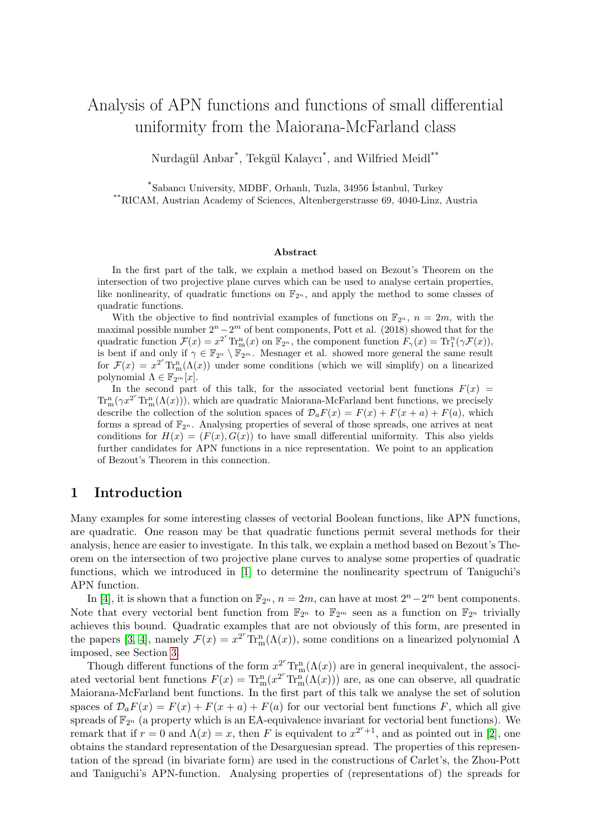## Analysis of APN functions and functions of small differential uniformity from the Maiorana-McFarland class

Nurdagül Anbar<sup>\*</sup>, Tekgül Kalaycı<sup>\*</sup>, and Wilfried Meidl<sup>\*\*</sup>

\* Sabancı University, MDBF, Orhanlı, Tuzla, 34956 ˙Istanbul, Turkey \*\*RICAM, Austrian Academy of Sciences, Altenbergerstrasse 69, 4040-Linz, Austria

#### Abstract

In the first part of the talk, we explain a method based on Bezout's Theorem on the intersection of two projective plane curves which can be used to analyse certain properties, like nonlinearity, of quadratic functions on  $\mathbb{F}_{2^n}$ , and apply the method to some classes of quadratic functions.

With the objective to find nontrivial examples of functions on  $\mathbb{F}_{2^n}$ ,  $n = 2m$ , with the maximal possible number  $2^n - 2^m$  of bent components, Pott et al. (2018) showed that for the quadratic function  $\mathcal{F}(x) = x^{2^r} \text{Tr}_{\text{m}}^n(x)$  on  $\mathbb{F}_{2^n}$ , the component function  $F_\gamma(x) = \text{Tr}_{1}^n(\gamma \mathcal{F}(x))$ , is bent if and only if  $\gamma \in \mathbb{F}_{2^m} \setminus \mathbb{F}_{2^m}$ . Mesnager et al. showed more general the same result for  $\mathcal{F}(x) = x^{2^r} \text{Tr}_{\text{m}}^n(\Lambda(x))$  under some conditions (which we will simplify) on a linearized polynomial  $\Lambda \in \mathbb{F}_{2^m}[x]$ .

In the second part of this talk, for the associated vectorial bent functions  $F(x)$  $\text{Tr}_{\text{m}}^{\text{n}}(\gamma x^{2^r}\text{Tr}_{\text{m}}^{\text{n}}(\Lambda(x)))$ , which are quadratic Maiorana-McFarland bent functions, we precisely describe the collection of the solution spaces of  $\mathcal{D}_a F(x) = F(x) + F(x + a) + F(a)$ , which forms a spread of  $\mathbb{F}_{2^n}$ . Analysing properties of several of those spreads, one arrives at neat conditions for  $H(x) = (F(x), G(x))$  to have small differential uniformity. This also yields further candidates for APN functions in a nice representation. We point to an application of Bezout's Theorem in this connection.

### 1 Introduction

Many examples for some interesting classes of vectorial Boolean functions, like APN functions, are quadratic. One reason may be that quadratic functions permit several methods for their analysis, hence are easier to investigate. In this talk, we explain a method based on Bezout's Theorem on the intersection of two projective plane curves to analyse some properties of quadratic functions, which we introduced in [\[1\]](#page-4-0) to determine the nonlinearity spectrum of Taniguchi's APN function.

In [\[4\]](#page-4-1), it is shown that a function on  $\mathbb{F}_{2^n}$ ,  $n = 2m$ , can have at most  $2^n - 2^m$  bent components. Note that every vectorial bent function from  $\mathbb{F}_{2^n}$  to  $\mathbb{F}_{2^m}$  seen as a function on  $\mathbb{F}_{2^n}$  trivially achieves this bound. Quadratic examples that are not obviously of this form, are presented in the papers [\[3,](#page-4-2) [4\]](#page-4-1), namely  $\mathcal{F}(x) = x^{2^r} \text{Tr}_{m}^n(\Lambda(x))$ , some conditions on a linearized polynomial  $\Lambda$ imposed, see Section [3.](#page-2-0)

Though different functions of the form  $x^{2^r} \text{Tr}_{\text{m}}^{\text{n}}(\Lambda(x))$  are in general inequivalent, the associated vectorial bent functions  $F(x) = \text{Tr}_{m}^{n}(x^{2^{r}} \text{Tr}_{m}^{n}(\Lambda(x)))$  are, as one can observe, all quadratic Maiorana-McFarland bent functions. In the first part of this talk we analyse the set of solution spaces of  $\mathcal{D}_a F(x) = F(x) + F(x + a) + F(a)$  for our vectorial bent functions F, which all give spreads of  $\mathbb{F}_{2^n}$  (a property which is an EA-equivalence invariant for vectorial bent functions). We remark that if  $r = 0$  and  $\Lambda(x) = x$ , then F is equivalent to  $x^{2^r+1}$ , and as pointed out in [\[2\]](#page-4-3), one obtains the standard representation of the Desarguesian spread. The properties of this representation of the spread (in bivariate form) are used in the constructions of Carlet's, the Zhou-Pott and Taniguchi's APN-function. Analysing properties of (representations of) the spreads for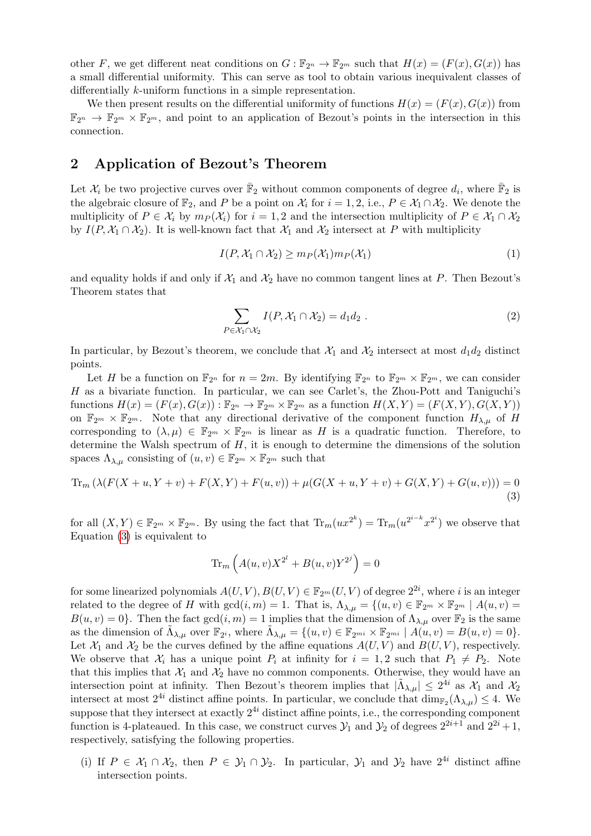other F, we get different neat conditions on  $G : \mathbb{F}_{2^n} \to \mathbb{F}_{2^m}$  such that  $H(x) = (F(x), G(x))$  has a small differential uniformity. This can serve as tool to obtain various inequivalent classes of differentially k-uniform functions in a simple representation.

We then present results on the differential uniformity of functions  $H(x) = (F(x), G(x))$  from  $\mathbb{F}_{2^n} \to \mathbb{F}_{2^m} \times \mathbb{F}_{2^m}$ , and point to an application of Bezout's points in the intersection in this connection.

#### <span id="page-1-3"></span>2 Application of Bezout's Theorem

Let  $\mathcal{X}_i$  be two projective curves over  $\bar{\mathbb{F}}_2$  without common components of degree  $d_i$ , where  $\bar{\mathbb{F}}_2$  is the algebraic closure of  $\mathbb{F}_2$ , and P be a point on  $\mathcal{X}_i$  for  $i = 1, 2, i.e., P \in \mathcal{X}_1 \cap \mathcal{X}_2$ . We denote the multiplicity of  $P \in \mathcal{X}_i$  by  $m_P(\mathcal{X}_i)$  for  $i = 1, 2$  and the intersection multiplicity of  $P \in \mathcal{X}_1 \cap \mathcal{X}_2$ by  $I(P, \mathcal{X}_1 \cap \mathcal{X}_2)$ . It is well-known fact that  $\mathcal{X}_1$  and  $\mathcal{X}_2$  intersect at P with multiplicity

<span id="page-1-1"></span>
$$
I(P, \mathcal{X}_1 \cap \mathcal{X}_2) \ge m_P(\mathcal{X}_1) m_P(\mathcal{X}_1)
$$
\n<sup>(1)</sup>

and equality holds if and only if  $\mathcal{X}_1$  and  $\mathcal{X}_2$  have no common tangent lines at P. Then Bezout's Theorem states that

<span id="page-1-2"></span>
$$
\sum_{P \in \mathcal{X}_1 \cap \mathcal{X}_2} I(P, \mathcal{X}_1 \cap \mathcal{X}_2) = d_1 d_2 \tag{2}
$$

In particular, by Bezout's theorem, we conclude that  $\mathcal{X}_1$  and  $\mathcal{X}_2$  intersect at most  $d_1d_2$  distinct points.

Let H be a function on  $\mathbb{F}_{2^n}$  for  $n=2m$ . By identifying  $\mathbb{F}_{2^n}$  to  $\mathbb{F}_{2^m}\times\mathbb{F}_{2^m}$ , we can consider H as a bivariate function. In particular, we can see Carlet's, the Zhou-Pott and Taniguchi's functions  $H(x) = (F(x), G(x)) : \mathbb{F}_{2^n} \to \mathbb{F}_{2^m} \times \mathbb{F}_{2^m}$  as a function  $H(X, Y) = (F(X, Y), G(X, Y))$ on  $\mathbb{F}_{2^m} \times \mathbb{F}_{2^m}$ . Note that any directional derivative of the component function  $H_{\lambda,\mu}$  of H corresponding to  $(\lambda, \mu) \in \mathbb{F}_{2^m} \times \mathbb{F}_{2^m}$  is linear as H is a quadratic function. Therefore, to determine the Walsh spectrum of  $H$ , it is enough to determine the dimensions of the solution spaces  $\Lambda_{\lambda,\mu}$  consisting of  $(u, v) \in \mathbb{F}_{2^m} \times \mathbb{F}_{2^m}$  such that

$$
\operatorname{Tr}_{m} \left( \lambda (F(X + u, Y + v) + F(X, Y) + F(u, v)) + \mu (G(X + u, Y + v) + G(X, Y) + G(u, v)) \right) = 0
$$
\n(3)

for all  $(X, Y) \in \mathbb{F}_{2^m} \times \mathbb{F}_{2^m}$ . By using the fact that  $\text{Tr}_m(ux^{2^k}) = \text{Tr}_m(u^{2^{i-k}}x^{2^i})$  we observe that Equation [\(3\)](#page-1-0) is equivalent to

<span id="page-1-0"></span>
$$
\operatorname{Tr}_m\left(A(u,v)X^{2^l} + B(u,v)Y^{2^j}\right) = 0
$$

for some linearized polynomials  $A(U, V), B(U, V) \in \mathbb{F}_{2^m}(U, V)$  of degree  $2^{2i}$ , where i is an integer related to the degree of H with  $gcd(i, m) = 1$ . That is,  $\Lambda_{\lambda,\mu} = \{(u, v) \in \mathbb{F}_{2^m} \times \mathbb{F}_{2^m} \mid A(u, v) =$  $B(u, v) = 0$ . Then the fact  $gcd(i, m) = 1$  implies that the dimension of  $\Lambda_{\lambda,\mu}$  over  $\mathbb{F}_2$  is the same as the dimension of  $\tilde{\Lambda}_{\lambda,\mu}$  over  $\mathbb{F}_{2^i}$ , where  $\tilde{\Lambda}_{\lambda,\mu} = \{(u, v) \in \mathbb{F}_{2^{mi}} \times \mathbb{F}_{2^{mi}} \mid A(u, v) = B(u, v) = 0\}.$ Let  $\mathcal{X}_1$  and  $\mathcal{X}_2$  be the curves defined by the affine equations  $A(U, V)$  and  $B(U, V)$ , respectively. We observe that  $\mathcal{X}_i$  has a unique point  $P_i$  at infinity for  $i = 1, 2$  such that  $P_1 \neq P_2$ . Note that this implies that  $\mathcal{X}_1$  and  $\mathcal{X}_2$  have no common components. Otherwise, they would have an intersection point at infinity. Then Bezout's theorem implies that  $|\tilde{\Lambda}_{\lambda,\mu}| \leq 2^{4i}$  as  $\mathcal{X}_1$  and  $\mathcal{X}_2$ intersect at most  $2^{4i}$  distinct affine points. In particular, we conclude that  $\dim_{\mathbb{F}_2}(\Lambda_{\lambda,\mu}) \leq 4$ . We suppose that they intersect at exactly  $2^{4i}$  distinct affine points, i.e., the corresponding component function is 4-plateaued. In this case, we construct curves  $\mathcal{Y}_1$  and  $\mathcal{Y}_2$  of degrees  $2^{2i+1}$  and  $2^{2i}+1$ , respectively, satisfying the following properties.

(i) If  $P \in \mathcal{X}_1 \cap \mathcal{X}_2$ , then  $P \in \mathcal{Y}_1 \cap \mathcal{Y}_2$ . In particular,  $\mathcal{Y}_1$  and  $\mathcal{Y}_2$  have  $2^{4i}$  distinct affine intersection points.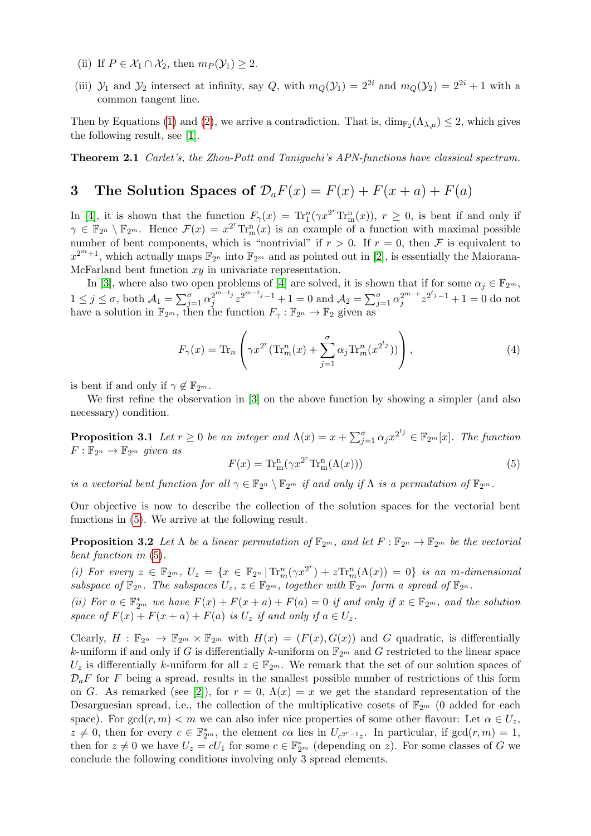- (ii) If  $P \in \mathcal{X}_1 \cap \mathcal{X}_2$ , then  $m_P(\mathcal{Y}_1) \geq 2$ .
- (iii)  $\mathcal{Y}_1$  and  $\mathcal{Y}_2$  intersect at infinity, say Q, with  $m_Q(\mathcal{Y}_1) = 2^{2i}$  and  $m_Q(\mathcal{Y}_2) = 2^{2i} + 1$  with a common tangent line.

Then by Equations [\(1\)](#page-1-1) and [\(2\)](#page-1-2), we arrive a contradiction. That is,  $\dim_{\mathbb{F}_2}(\Lambda_{\lambda,\mu}) \leq 2$ , which gives the following result, see [\[1\]](#page-4-0).

Theorem 2.1 Carlet's, the Zhou-Pott and Taniguchi's APN-functions have classical spectrum.

# <span id="page-2-0"></span>3 The Solution Spaces of  $\mathcal{D}_a F(x) = F(x) + F(x + a) + F(a)$

In [\[4\]](#page-4-1), it is shown that the function  $F_{\gamma}(x) = Tr_1^n(\gamma x^{2^r} Tr_m^n(x))$ ,  $r \ge 0$ , is bent if and only if  $\gamma \in \mathbb{F}_{2^n} \setminus \mathbb{F}_{2^m}$ . Hence  $\mathcal{F}(x) = x^{2^r} \text{Tr}_{\text{m}}^{\text{n}}(x)$  is an example of a function with maximal possible number of bent components, which is "nontrivial" if  $r > 0$ . If  $r = 0$ , then F is equivalent to  $x^{2^m+1}$ , which actually maps  $\mathbb{F}_{2^n}$  into  $\mathbb{F}_{2^m}$  and as pointed out in [\[2\]](#page-4-3), is essentially the Maiorana-McFarland bent function  $xy$  in univariate representation.

In [\[3\]](#page-4-2), where also two open problems of [\[4\]](#page-4-1) are solved, it is shown that if for some  $\alpha_j \in \mathbb{F}_{2^m}$ ,  $1 \leq j \leq \sigma$ , both  $\mathcal{A}_1 = \sum_{j=1}^{\sigma} \alpha_j^{2^{m-t_j}}$  $j^{2^{m-t_j}} z^{2^{m-t_j}-1} + 1 = 0$  and  $\mathcal{A}_2 = \sum_{j=1}^{\sigma} \alpha_j^{2^{m-r}} z^{2^{t_j}-1} + 1 = 0$  do not have a solution in  $\mathbb{F}_{2^m}$ , then the function  $F_{\gamma}: \mathbb{F}_{2^n} \to \mathbb{F}_2$  given as

$$
F_{\gamma}(x) = \text{Tr}_n\left(\gamma x^{2^r}(\text{Tr}_m^n(x) + \sum_{j=1}^{\sigma} \alpha_j \text{Tr}_m^n(x^{2^{t_j}}))\right),\tag{4}
$$

is bent if and only if  $\gamma \notin \mathbb{F}_{2^m}$ .

We first refine the observation in [\[3\]](#page-4-2) on the above function by showing a simpler (and also necessary) condition.

**Proposition 3.1** Let  $r \ge 0$  be an integer and  $\Lambda(x) = x + \sum_{j=1}^{\sigma} \alpha_j x^{2^{t_j}} \in \mathbb{F}_{2^m}[x]$ . The function  $F: \mathbb{F}_{2^n} \to \mathbb{F}_{2^m}$  given as r

<span id="page-2-2"></span><span id="page-2-1"></span>
$$
F(x) = \text{Tr}_{\text{m}}^{\text{n}}(\gamma x^{2^r} \text{Tr}_{\text{m}}^{\text{n}}(\Lambda(x)))
$$
\n(5)

is a vectorial bent function for all  $\gamma \in \mathbb{F}_{2^m} \setminus \mathbb{F}_{2^m}$  if and only if  $\Lambda$  is a permutation of  $\mathbb{F}_{2^m}$ .

Our objective is now to describe the collection of the solution spaces for the vectorial bent functions in [\(5\)](#page-2-1). We arrive at the following result.

**Proposition 3.2** Let  $\Lambda$  be a linear permutation of  $\mathbb{F}_{2^m}$ , and let  $F : \mathbb{F}_{2^n} \to \mathbb{F}_{2^m}$  be the vectorial bent function in [\(5\)](#page-2-1).

(i) For every  $z \in \mathbb{F}_{2^m}$ ,  $U_z = \{x \in \mathbb{F}_{2^n} | \text{Tr}_{m}^n(\gamma x^{2^r}) + z \text{Tr}_{m}^n(\Lambda(x)) = 0\}$  is an m-dimensional subspace of  $\mathbb{F}_{2^n}$ . The subspaces  $U_z$ ,  $z \in \mathbb{F}_{2^m}$ , together with  $\mathbb{F}_{2^m}$  form a spread of  $\mathbb{F}_{2^n}$ .

(ii) For  $a \in \mathbb{F}_{2^m}^*$  we have  $F(x) + F(x+a) + F(a) = 0$  if and only if  $x \in \mathbb{F}_{2^m}$ , and the solution space of  $F(x) + F(x + a) + F(a)$  is  $U_z$  if and only if  $a \in U_z$ .

Clearly,  $H : \mathbb{F}_{2^n} \to \mathbb{F}_{2^m} \times \mathbb{F}_{2^m}$  with  $H(x) = (F(x), G(x))$  and G quadratic, is differentially k-uniform if and only if G is differentially k-uniform on  $\mathbb{F}_{2^m}$  and G restricted to the linear space  $U_z$  is differentially k-uniform for all  $z \in \mathbb{F}_{2^m}$ . We remark that the set of our solution spaces of  $\mathcal{D}_{a}F$  for F being a spread, results in the smallest possible number of restrictions of this form on G. As remarked (see [\[2\]](#page-4-3)), for  $r = 0$ ,  $\Lambda(x) = x$  we get the standard representation of the Desarguesian spread, i.e., the collection of the multiplicative cosets of  $\mathbb{F}_{2m}$  (0 added for each space). For gcd(r, m)  $\lt m$  we can also infer nice properties of some other flavour: Let  $\alpha \in U_z$ ,  $z \neq 0$ , then for every  $c \in \mathbb{F}_{2^m}^*$ , the element  $c\alpha$  lies in  $U_{c^{2^r-1}z}$ . In particular, if  $gcd(r, m) = 1$ , then for  $z \neq 0$  we have  $U_z = cU_1$  for some  $c \in \mathbb{F}_{2^m}^*$  (depending on z). For some classes of G we conclude the following conditions involving only 3 spread elements.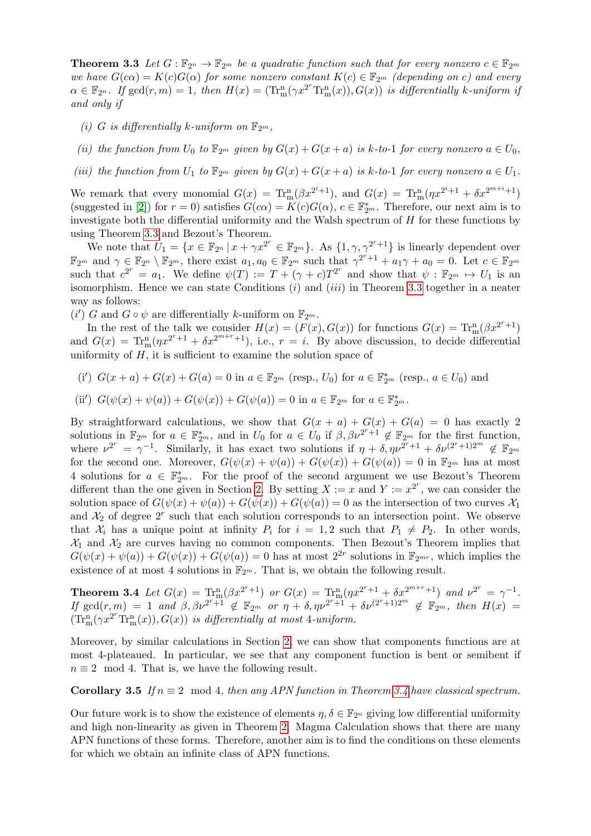**Theorem 3.3** Let  $G: \mathbb{F}_{2^n} \to \mathbb{F}_{2^m}$  be a quadratic function such that for every nonzero  $c \in \mathbb{F}_{2^m}$ we have  $G(c\alpha) = K(c)G(\alpha)$  for some nonzero constant  $K(c) \in \mathbb{F}_{2^m}$  (depending on c) and every  $\alpha \in \mathbb{F}_{2^n}$ . If  $gcd(r, m) = 1$ , then  $H(x) = (\text{Tr}_{m}^{n}(\gamma x^{2^r}\text{Tr}_{m}^{n}(x)), G(x))$  is differentially k-uniform if and only if

- (i) G is differentially k-uniform on  $\mathbb{F}_{2^m}$ .
- (ii) the function from  $U_0$  to  $\mathbb{F}_{2^m}$  given by  $G(x) + G(x+a)$  is k-to-1 for every nonzero  $a \in U_0$ ,
- (iii) the function from  $U_1$  to  $\mathbb{F}_{2^m}$  given by  $G(x) + G(x+a)$  is k-to-1 for every nonzero  $a \in U_1$ .

We remark that every monomial  $G(x) = \text{Tr}_{m}^{n}(\beta x^{2^{i}+1})$ , and  $G(x) = \text{Tr}_{m}^{n}(\eta x^{2^{i}+1} + \delta x^{2^{m+i}+1})$ (suggested in [\[2\]](#page-4-3)) for  $r = 0$ ) satisfies  $G(c\alpha) = K(c)G(\alpha)$ ,  $c \in \mathbb{F}_{2^m}^*$ . Therefore, our next aim is to investigate both the differential uniformity and the Walsh spectrum of  $H$  for these functions by using Theorem [3.3](#page-2-2) and Bezout's Theorem.

We note that  $U_1 = \{x \in \mathbb{F}_{2^n} \mid x + \gamma x^{2^r} \in \mathbb{F}_{2^m}\}\.$  As  $\{1, \gamma, \gamma^{2^r+1}\}\)$  is linearly dependent over  $\mathbb{F}_{2^m}$  and  $\gamma \in \mathbb{F}_{2^n} \setminus \mathbb{F}_{2^m}$ , there exist  $a_1, a_0 \in \mathbb{F}_{2^m}$  such that  $\gamma^{2^r+1} + a_1\gamma + a_0 = 0$ . Let  $c \in \mathbb{F}_{2^m}$ such that  $c^{2^r} = a_1$ . We define  $\psi(T) := T + (\gamma + c)T^{2^r}$  and show that  $\psi : \mathbb{F}_{2^m} \to U_1$  is an isomorphism. Hence we can state Conditions  $(i)$  and  $(iii)$  in Theorem [3.3](#page-2-2) together in a neater way as follows:

(i') G and  $G \circ \psi$  are differentially k-uniform on  $\mathbb{F}_{2^m}$ .

In the rest of the talk we consider  $H(x) = (F(x), G(x))$  for functions  $G(x) = \text{Tr}_{m}^{n}(\beta x^{2^{r}+1})$ and  $G(x) = \text{Tr}_{m}^{n}(\eta x^{2^{r}+1} + \delta x^{2^{m+r}+1}),$  i.e.,  $r = i$ . By above discussion, to decide differential uniformity of  $H$ , it is sufficient to examine the solution space of

(i')  $G(x + a) + G(x) + G(a) = 0$  in  $a \in \mathbb{F}_{2^m}$  (resp.,  $U_0$ ) for  $a \in \mathbb{F}_{2^m}^*$  (resp.,  $a \in U_0$ ) and

(ii') 
$$
G(\psi(x) + \psi(a)) + G(\psi(x)) + G(\psi(a)) = 0
$$
 in  $a \in \mathbb{F}_{2^m}$  for  $a \in \mathbb{F}_{2^m}^*$ .

By straightforward calculations, we show that  $G(x + a) + G(x) + G(a) = 0$  has exactly 2 solutions in  $\mathbb{F}_{2^m}$  for  $a \in \mathbb{F}_{2^m}^*$ , and in  $U_0$  for  $a \in U_0$  if  $\beta, \beta \nu^{2^r+1} \notin \mathbb{F}_{2^m}$  for the first function, where  $\nu^{2^r} = \gamma^{-1}$ . Similarly, it has exact two solutions if  $\eta + \delta, \eta \nu^{2^r+1} + \delta \nu^{(2^r+1)2^m} \notin \mathbb{F}_{2^m}$ for the second one. Moreover,  $G(\psi(x) + \psi(a)) + G(\psi(x)) + G(\psi(a)) = 0$  in  $\mathbb{F}_{2^m}$  has at most 4 solutions for  $a \in \mathbb{F}_{2^m}^*$ . For the proof of the second argument we use Bezout's Theorem different than the one given in Section [2.](#page-1-3) By setting  $X := x$  and  $Y := x^{2^r}$ , we can consider the solution space of  $G(\psi(x) + \psi(a)) + G(\psi(x)) + G(\psi(a)) = 0$  as the intersection of two curves  $\mathcal{X}_1$ and  $\mathcal{X}_2$  of degree  $2^r$  such that each solution corresponds to an intersection point. We observe that  $\mathcal{X}_i$  has a unique point at infinity  $P_i$  for  $i = 1, 2$  such that  $P_1 \neq P_2$ . In other words,  $\mathcal{X}_1$  and  $\mathcal{X}_2$  are curves having no common components. Then Bezout's Theorem implies that  $G(\psi(x) + \psi(a)) + G(\psi(x)) + G(\psi(a)) = 0$  has at most  $2^{2r}$  solutions in  $\mathbb{F}_{2^{mr}}$ , which implies the existence of at most 4 solutions in  $\mathbb{F}_{2^m}$ . That is, we obtain the following result.

<span id="page-3-0"></span>**Theorem 3.4** Let  $G(x) = \text{Tr}_{m}^{n}(\beta x^{2^{r}+1})$  or  $G(x) = \text{Tr}_{m}^{n}(\eta x^{2^{r}+1} + \delta x^{2^{m+r}+1})$  and  $\nu^{2^{r}} = \gamma^{-1}$ . If  $\gcd(r, m) = 1$  and  $\beta, \beta \nu^{2^r+1} \notin \mathbb{F}_{2^m}$  or  $\eta + \delta, \eta \nu^{2^r+1} + \delta \nu^{(2^r+1)2^m} \notin \mathbb{F}_{2^m}$ , then  $H(x) =$  $(\mathrm{Tr}^{\mathrm{n}}_{\mathrm{m}}(\gamma x^{2^r}\mathrm{Tr}^{\mathrm{n}}_{\mathrm{m}}(x)),G(x))$  is differentially at most 4-uniform.

Moreover, by similar calculations in Section [2,](#page-1-3) we can show that components functions are at most 4-plateaued. In particular, we see that any component function is bent or semibent if  $n \equiv 2 \mod 4$ . That is, we have the following result.

#### **Corollary 3.5** If  $n \equiv 2 \mod 4$ , then any APN function in Theorem [3.4](#page-3-0) have classical spectrum.

Our future work is to show the existence of elements  $\eta, \delta \in \mathbb{F}_{2^n}$  giving low differential uniformity and high non-linearity as given in Theorem [2.](#page-1-3) Magma Calculation shows that there are many APN functions of these forms. Therefore, another aim is to find the conditions on these elements for which we obtain an infinite class of APN functions.